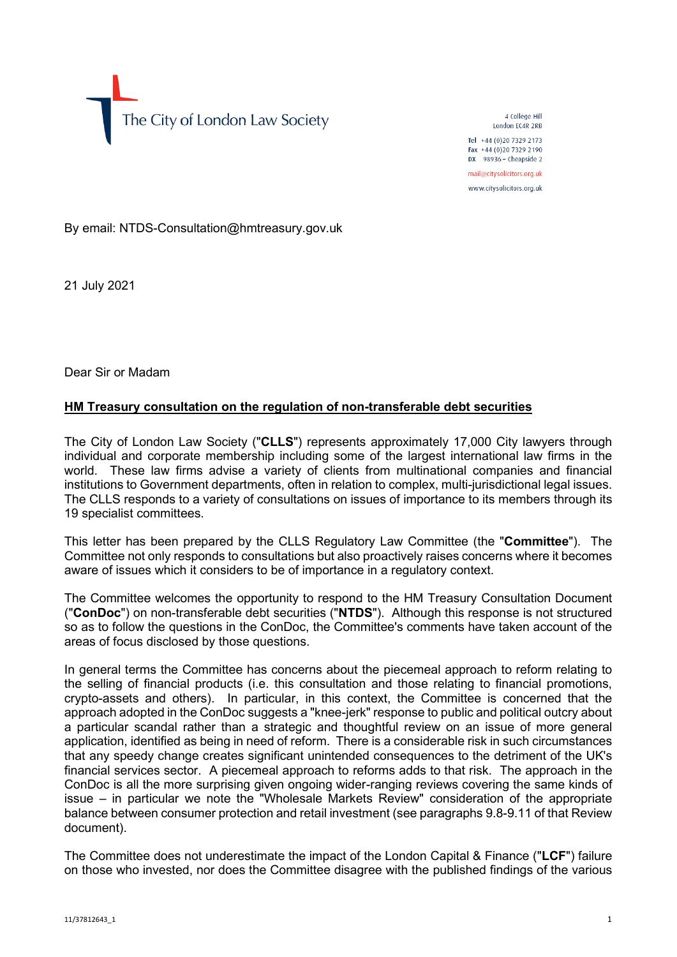The City of London Law Society

4 College Hill London FC4R 2RB Tel +44 (0)20 7329 2173 Fax +44 (0)20 7329 2190 DX  $98936$  - Cheapside 2 mail@citysolicitors.org.uk www.citysolicitors.org.uk

By email: NTDS-Consultation@hmtreasury.gov.uk

21 July 2021

Dear Sir or Madam

## **HM Treasury consultation on the regulation of non-transferable debt securities**

The City of London Law Society ("**CLLS**") represents approximately 17,000 City lawyers through individual and corporate membership including some of the largest international law firms in the world. These law firms advise a variety of clients from multinational companies and financial institutions to Government departments, often in relation to complex, multi-jurisdictional legal issues. The CLLS responds to a variety of consultations on issues of importance to its members through its 19 specialist committees.

This letter has been prepared by the CLLS Regulatory Law Committee (the "**Committee**"). The Committee not only responds to consultations but also proactively raises concerns where it becomes aware of issues which it considers to be of importance in a regulatory context.

The Committee welcomes the opportunity to respond to the HM Treasury Consultation Document ("**ConDoc**") on non-transferable debt securities ("**NTDS**"). Although this response is not structured so as to follow the questions in the ConDoc, the Committee's comments have taken account of the areas of focus disclosed by those questions.

In general terms the Committee has concerns about the piecemeal approach to reform relating to the selling of financial products (i.e. this consultation and those relating to financial promotions, crypto-assets and others). In particular, in this context, the Committee is concerned that the approach adopted in the ConDoc suggests a "knee-jerk" response to public and political outcry about a particular scandal rather than a strategic and thoughtful review on an issue of more general application, identified as being in need of reform. There is a considerable risk in such circumstances that any speedy change creates significant unintended consequences to the detriment of the UK's financial services sector. A piecemeal approach to reforms adds to that risk. The approach in the ConDoc is all the more surprising given ongoing wider-ranging reviews covering the same kinds of issue – in particular we note the "Wholesale Markets Review" consideration of the appropriate balance between consumer protection and retail investment (see paragraphs 9.8-9.11 of that Review document).

The Committee does not underestimate the impact of the London Capital & Finance ("**LCF**") failure on those who invested, nor does the Committee disagree with the published findings of the various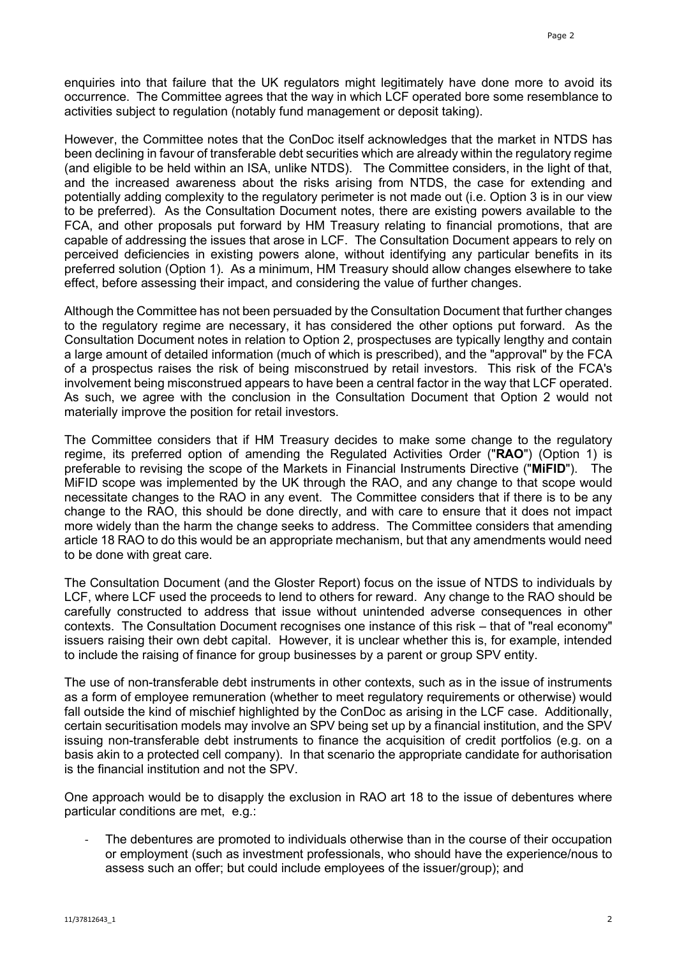enquiries into that failure that the UK regulators might legitimately have done more to avoid its occurrence. The Committee agrees that the way in which LCF operated bore some resemblance to activities subject to regulation (notably fund management or deposit taking).

However, the Committee notes that the ConDoc itself acknowledges that the market in NTDS has been declining in favour of transferable debt securities which are already within the regulatory regime (and eligible to be held within an ISA, unlike NTDS). The Committee considers, in the light of that, and the increased awareness about the risks arising from NTDS, the case for extending and potentially adding complexity to the regulatory perimeter is not made out (i.e. Option 3 is in our view to be preferred). As the Consultation Document notes, there are existing powers available to the FCA, and other proposals put forward by HM Treasury relating to financial promotions, that are capable of addressing the issues that arose in LCF. The Consultation Document appears to rely on perceived deficiencies in existing powers alone, without identifying any particular benefits in its preferred solution (Option 1). As a minimum, HM Treasury should allow changes elsewhere to take effect, before assessing their impact, and considering the value of further changes.

Although the Committee has not been persuaded by the Consultation Document that further changes to the regulatory regime are necessary, it has considered the other options put forward. As the Consultation Document notes in relation to Option 2, prospectuses are typically lengthy and contain a large amount of detailed information (much of which is prescribed), and the "approval" by the FCA of a prospectus raises the risk of being misconstrued by retail investors. This risk of the FCA's involvement being misconstrued appears to have been a central factor in the way that LCF operated. As such, we agree with the conclusion in the Consultation Document that Option 2 would not materially improve the position for retail investors.

The Committee considers that if HM Treasury decides to make some change to the regulatory regime, its preferred option of amending the Regulated Activities Order ("**RAO**") (Option 1) is preferable to revising the scope of the Markets in Financial Instruments Directive ("**MiFID**"). The MiFID scope was implemented by the UK through the RAO, and any change to that scope would necessitate changes to the RAO in any event. The Committee considers that if there is to be any change to the RAO, this should be done directly, and with care to ensure that it does not impact more widely than the harm the change seeks to address. The Committee considers that amending article 18 RAO to do this would be an appropriate mechanism, but that any amendments would need to be done with great care.

The Consultation Document (and the Gloster Report) focus on the issue of NTDS to individuals by LCF, where LCF used the proceeds to lend to others for reward. Any change to the RAO should be carefully constructed to address that issue without unintended adverse consequences in other contexts. The Consultation Document recognises one instance of this risk – that of "real economy" issuers raising their own debt capital. However, it is unclear whether this is, for example, intended to include the raising of finance for group businesses by a parent or group SPV entity.

The use of non-transferable debt instruments in other contexts, such as in the issue of instruments as a form of employee remuneration (whether to meet regulatory requirements or otherwise) would fall outside the kind of mischief highlighted by the ConDoc as arising in the LCF case. Additionally, certain securitisation models may involve an SPV being set up by a financial institution, and the SPV issuing non-transferable debt instruments to finance the acquisition of credit portfolios (e.g. on a basis akin to a protected cell company). In that scenario the appropriate candidate for authorisation is the financial institution and not the SPV.

One approach would be to disapply the exclusion in RAO art 18 to the issue of debentures where particular conditions are met, e.g.:

The debentures are promoted to individuals otherwise than in the course of their occupation or employment (such as investment professionals, who should have the experience/nous to assess such an offer; but could include employees of the issuer/group); and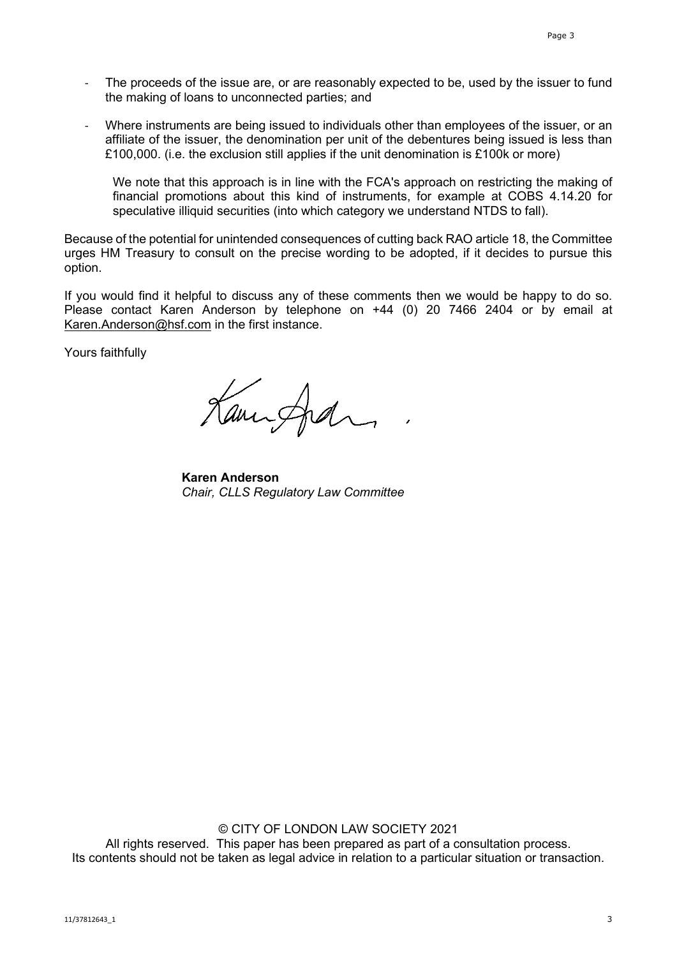- The proceeds of the issue are, or are reasonably expected to be, used by the issuer to fund the making of loans to unconnected parties; and
- Where instruments are being issued to individuals other than employees of the issuer, or an affiliate of the issuer, the denomination per unit of the debentures being issued is less than £100,000. (i.e. the exclusion still applies if the unit denomination is £100k or more)

We note that this approach is in line with the FCA's approach on restricting the making of financial promotions about this kind of instruments, for example at COBS 4.14.20 for speculative illiquid securities (into which category we understand NTDS to fall).

Because of the potential for unintended consequences of cutting back RAO article 18, the Committee urges HM Treasury to consult on the precise wording to be adopted, if it decides to pursue this option.

If you would find it helpful to discuss any of these comments then we would be happy to do so. Please contact Karen Anderson by telephone on +44 (0) 20 7466 2404 or by email at [Karen.Anderson@hsf.com](mailto:Karen.Anderson@hsf.com) in the first instance.

Yours faithfully

Kanisfel

**Karen Anderson** *Chair, CLLS Regulatory Law Committee*

© CITY OF LONDON LAW SOCIETY 2021 All rights reserved. This paper has been prepared as part of a consultation process. Its contents should not be taken as legal advice in relation to a particular situation or transaction.